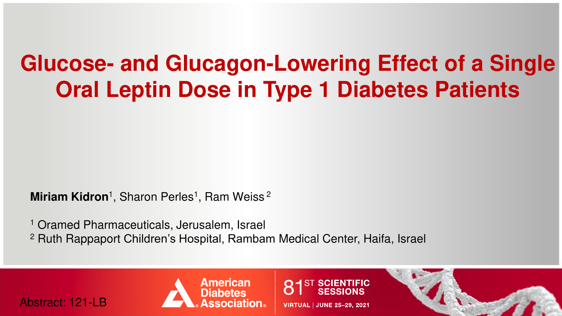# **Glucose- and Glucagon-Lowering Effect of a Single Oral Leptin Dose in Type 1 Diabetes Patients**

**Miriam Kidron**<sup>1</sup>, Sharon Perles<sup>1</sup>, Ram Weiss<sup>2</sup>

<sup>1</sup> Oramed Pharmaceuticals, Jerusalem, Israel <sup>2</sup> Ruth Rappaport Children's Hospital, Rambam Medical Center, Haifa, Israel

Abstract: 121-LB



**VIRTUAL | JUNE 25-29, 2021** 

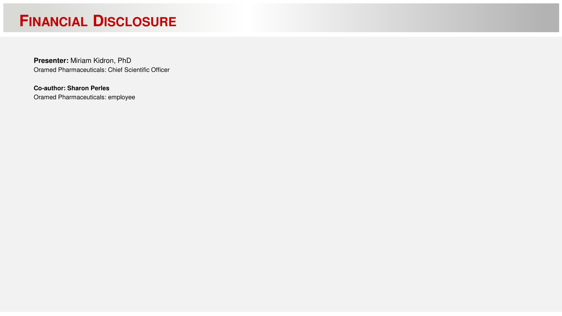# **FINANCIAL DISCLOSURE**

**Presenter:** Miriam Kidron, PhD Oramed Pharmaceuticals: Chief Scientific Officer

**Co-author: Sharon Perles** Oramed Pharmaceuticals: employee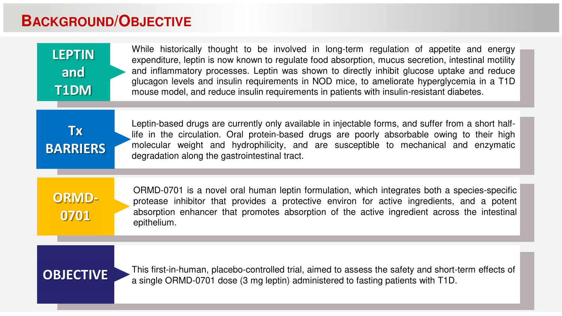#### **BACKGROUND/OBJECTIVE**

| <b>LEPTIN</b> |
|---------------|
| and           |
| T1DM          |

While historically thought to be involved in long-term regulation of appetite and energy expenditure, leptin is now known to regulate food absorption, mucus secretion, intestinal motility and inflammatory processes. Leptin was shown to directly inhibit glucose uptake and reduce glucagon levels and insulin requirements in NOD mice, to ameliorate hyperglycemia in a T1D mouse model, and reduce insulin requirements in patients with insulin-resistant diabetes.

**Tx BARRIERS**

Leptin-based drugs are currently only available in injectable forms, and suffer from a short halflife in the circulation. Oral protein-based drugs are poorly absorbable owing to their high molecular weight and hydrophilicity, and are susceptible to mechanical and enzymatic degradation along the gastrointestinal tract.

**ORMD-0701**

ORMD-0701 is a novel oral human leptin formulation, which integrates both a species-specific protease inhibitor that provides a protective environ for active ingredients, and a potent absorption enhancer that promotes absorption of the active ingredient across the intestinal epithelium.

**OBJECTIVE** This first-in-human, placebo-controlled trial, aimed to assess the safety and short-term effects of a single ORMD-0701 dose (3 mg leptin) administered to fasting patients with T1D.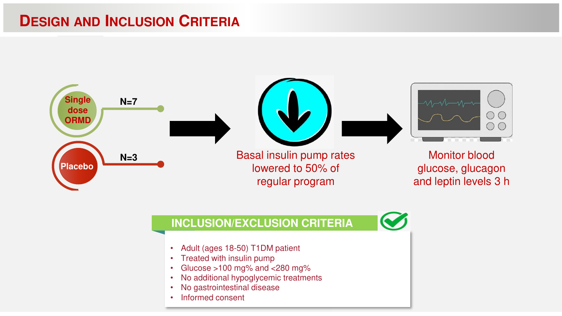### **DESIGN AND INCLUSION CRITERIA**



#### **INCLUSION/EXCLUSION CRITERIA**

- Adult (ages 18-50) T1DM patient
- Treated with insulin pump
- Glucose >100 mg% and <280 mg%
- No additional hypoglycemic treatments
- No gastrointestinal disease
- Informed consent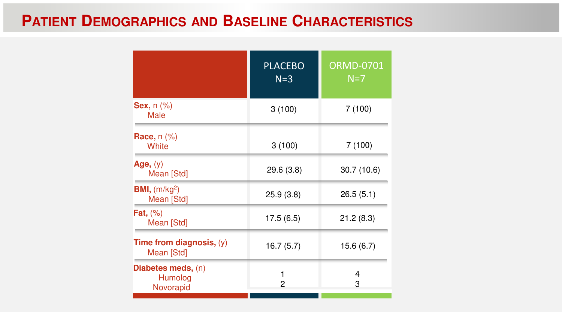# **PATIENT DEMOGRAPHICS AND BASELINE CHARACTERISTICS**

|                                                   | <b>PLACEBO</b><br>$N=3$ | <b>ORMD-0701</b><br>$N=7$ |
|---------------------------------------------------|-------------------------|---------------------------|
| <b>Sex, n (%)</b><br><b>Male</b>                  | 3(100)                  | 7(100)                    |
| Race, n (%)<br>White                              | 3(100)                  | 7(100)                    |
| Age, (y)<br>Mean [Std]                            | 29.6(3.8)               | 30.7(10.6)                |
| <b>BMI,</b> $(m/kg2)$<br>Mean [Std]               | 25.9(3.8)               | 26.5(5.1)                 |
| Fat, $(\%)$<br>Mean [Std]                         | 17.5(6.5)               | 21.2(8.3)                 |
| Time from diagnosis, $(y)$<br>Mean [Std]          | 16.7(5.7)               | 15.6 (6.7)                |
| <b>Diabetes meds, (n)</b><br>Humolog<br>Novorapid | 1<br>2                  | 4<br>3                    |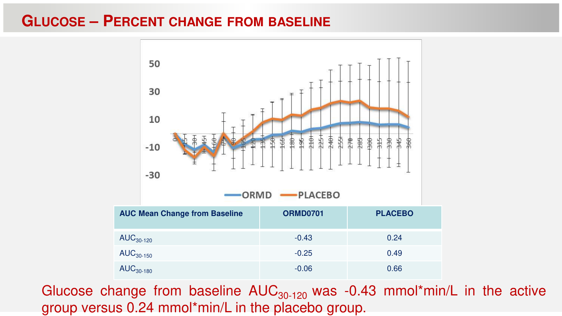#### **GLUCOSE – PERCENT CHANGE FROM BASELINE**



Glucose change from baseline  $AUC_{30-120}$  was -0.43 mmol\*min/L in the active group versus 0.24 mmol\*min/L in the placebo group.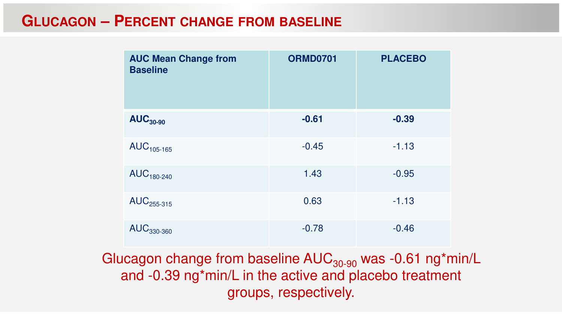### **GLUCAGON – PERCENT CHANGE FROM BASELINE**

| <b>AUC Mean Change from</b><br><b>Baseline</b> | <b>ORMD0701</b> | <b>PLACEBO</b> |
|------------------------------------------------|-----------------|----------------|
| $AUC_{30-90}$                                  | $-0.61$         | $-0.39$        |
| $AUC105-165$                                   | $-0.45$         | $-1.13$        |
| $AUC180-240$                                   | 1.43            | $-0.95$        |
| AUC <sub>255-315</sub>                         | 0.63            | $-1.13$        |
| $AUC_{330-360}$                                | $-0.78$         | $-0.46$        |

Glucagon change from baseline  $AUC_{30-90}$  was -0.61 ng\*min/L and -0.39 ng\*min/L in the active and placebo treatment groups, respectively.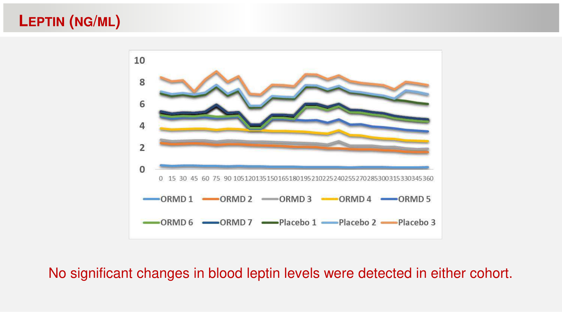# **LEPTIN (NG/ML)**



#### No significant changes in blood leptin levels were detected in either cohort.